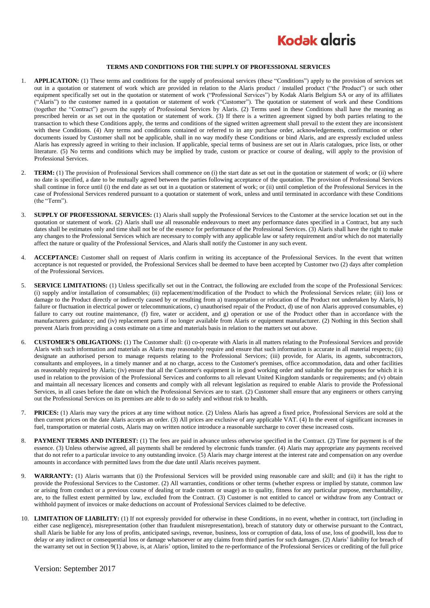

## **TERMS AND CONDITIONS FOR THE SUPPLY OF PROFESSIONAL SERVICES**

- 1. **APPLICATION:** (1) These terms and conditions for the supply of professional services (these "Conditions") apply to the provision of services set out in a quotation or statement of work which are provided in relation to the Alaris product / installed product ("the Product") or such other equipment specifically set out in the quotation or statement of work ("Professional Services") by Kodak Alaris Belgium SA or any of its affiliates ("Alaris") to the customer named in a quotation or statement of work ("Customer"). The quotation or statement of work and these Conditions (together the "Contract") govern the supply of Professional Services by Alaris. (2) Terms used in these Conditions shall have the meaning as prescribed herein or as set out in the quotation or statement of work. (3) If there is a written agreement signed by both parties relating to the transaction to which these Conditions apply, the terms and conditions of the signed written agreement shall prevail to the extent they are inconsistent with these Conditions. (4) Any terms and conditions contained or referred to in any purchase order, acknowledgements, confirmation or other documents issued by Customer shall not be applicable, shall in no way modify these Conditions or bind Alaris, and are expressly excluded unless Alaris has expressly agreed in writing to their inclusion. If applicable, special terms of business are set out in Alaris catalogues, price lists, or other literature. (5) No terms and conditions which may be implied by trade, custom or practice or course of dealing, will apply to the provision of Professional Services.
- 2. **TERM:** (1) The provision of Professional Services shall commence on (i) the start date as set out in the quotation or statement of work; or (ii) where no date is specified, a date to be mutually agreed between the parties following acceptance of the quotation. The provision of Professional Services shall continue in force until (i) the end date as set out in a quotation or statement of work; or (ii) until completion of the Professional Services in the case of Professional Services rendered pursuant to a quotation or statement of work, unless and until terminated in accordance with these Conditions (the "Term").
- 3. **SUPPLY OF PROFESSIONAL SERVICES:** (1) Alaris shall supply the Professional Services to the Customer at the service location set out in the quotation or statement of work. (2) Alaris shall use all reasonable endeavours to meet any performance dates specified in a Contract, but any such dates shall be estimates only and time shall not be of the essence for performance of the Professional Services. (3) Alaris shall have the right to make any changes to the Professional Services which are necessary to comply with any applicable law or safety requirement and/or which do not materially affect the nature or quality of the Professional Services, and Alaris shall notify the Customer in any such event.
- 4. **ACCEPTANCE:** Customer shall on request of Alaris confirm in writing its acceptance of the Professional Services. In the event that written acceptance is not requested or provided, the Professional Services shall be deemed to have been accepted by Customer two (2) days after completion of the Professional Services.
- 5. **SERVICE LIMITATIONS:** (1) Unless specifically set out in the Contract, the following are excluded from the scope of the Professional Services: (i) supply and/or installation of consumables; (ii) replacement/modification of the Product to which the Professional Services relate; (iii) loss or damage to the Product directly or indirectly caused by or resulting from a) transportation or relocation of the Product not undertaken by Alaris, b) failure or fluctuation in electrical power or telecommunications, c) unauthorised repair of the Product, d) use of non Alaris approved consumables, e) failure to carry out routine maintenance, (f) fire, water or accident, and g) operation or use of the Product other than in accordance with the manufacturers guidance; and (iv) replacement parts if no longer available from Alaris or equipment manufacturer. (2) Nothing in this Section shall prevent Alaris from providing a costs estimate on a time and materials basis in relation to the matters set out above.
- 6. **CUSTOMER'S OBLIGATIONS:** (1) The Customer shall: (i) co-operate with Alaris in all matters relating to the Professional Services and provide Alaris with such information and materials as Alaris may reasonably require and ensure that such information is accurate in all material respects; (ii) designate an authorised person to manage requests relating to the Professional Services; (iii) provide, for Alaris, its agents, subcontractors, consultants and employees, in a timely manner and at no charge, access to the Customer's premises, office accommodation, data and other facilities as reasonably required by Alaris; (iv) ensure that all the Customer's equipment is in good working order and suitable for the purposes for which it is used in relation to the provision of the Professional Services and conforms to all relevant United Kingdom standards or requirements; and (v) obtain and maintain all necessary licences and consents and comply with all relevant legislation as required to enable Alaris to provide the Professional Services, in all cases before the date on which the Professional Services are to start. (2) Customer shall ensure that any engineers or others carrying out the Professional Services on its premises are able to do so safely and without risk to health**.**
- 7. **PRICES:** (1) Alaris may vary the prices at any time without notice. (2) Unless Alaris has agreed a fixed price, Professional Services are sold at the then current prices on the date Alaris accepts an order. (3) All prices are exclusive of any applicable VAT. (4) In the event of significant increases in fuel, transportation or material costs, Alaris may on written notice introduce a reasonable surcharge to cover these increased costs.
- 8. **PAYMENT TERMS AND INTEREST:** (1) The fees are paid in advance unless otherwise specified in the Contract. (2) Time for payment is of the essence. (3) Unless otherwise agreed, all payments shall be rendered by electronic funds transfer. (4) Alaris may appropriate any payments received that do not refer to a particular invoice to any outstanding invoice. (5) Alaris may charge interest at the interest rate and compensation on any overdue amounts in accordance with permitted laws from the due date until Alaris receives payment.
- 9. **WARRANTY:** (1) Alaris warrants that (i) the Professional Services will be provided using reasonable care and skill; and (ii) it has the right to provide the Professional Services to the Customer. (2) All warranties, conditions or other terms (whether express or implied by statute, common law or arising from conduct or a previous course of dealing or trade custom or usage) as to quality, fitness for any particular purpose, merchantability, are, to the fullest extent permitted by law, excluded from the Contract. (3) Customer is not entitled to cancel or withdraw from any Contract or withhold payment of invoices or make deductions on account of Professional Services claimed to be defective.
- 10. **LIMITATION OF LIABILITY:** (1) If not expressly provided for otherwise in these Conditions, in no event, whether in contract, tort (including in either case negligence), misrepresentation (other than fraudulent misrepresentation), breach of statutory duty or otherwise pursuant to the Contract, shall Alaris be liable for any loss of profits, anticipated savings, revenue, business, loss or corruption of data, loss of use, loss of goodwill, loss due to delay or any indirect or consequential loss or damage whatsoever or any claims from third parties for such damages. (2) Alaris' liability for breach of the warranty set out in Section 9(1) above, is, at Alaris' option, limited to the re-performance of the Professional Services or crediting of the full price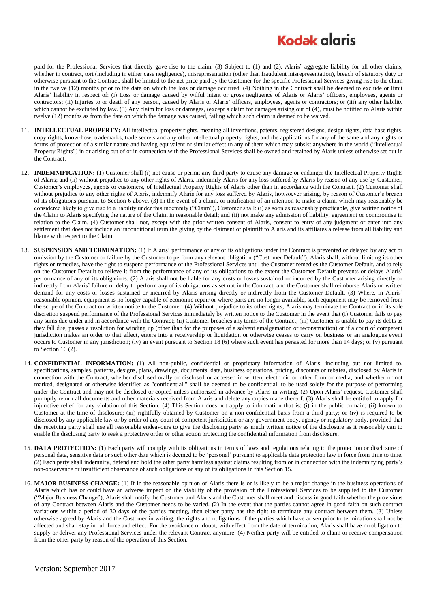## **Kodak glaris**

paid for the Professional Services that directly gave rise to the claim. (3) Subject to (1) and (2), Alaris' aggregate liability for all other claims, whether in contract, tort (including in either case negligence), misrepresentation (other than fraudulent misrepresentation), breach of statutory duty or otherwise pursuant to the Contract, shall be limited to the net price paid by the Customer for the specific Professional Services giving rise to the claim in the twelve (12) months prior to the date on which the loss or damage occurred. (4) Nothing in the Contract shall be deemed to exclude or limit Alaris' liability in respect of: (i) Loss or damage caused by wilful intent or gross negligence of Alaris or Alaris' officers, employees, agents or contractors; (ii) Injuries to or death of any person, caused by Alaris or Alaris' officers, employees, agents or contractors; or (iii) any other liability which cannot be excluded by law. (5) Any claim for loss or damages, (except a claim for damages arising out of (4), must be notified to Alaris within twelve (12) months as from the date on which the damage was caused, failing which such claim is deemed to be waived.

- 11. **INTELLECTUAL PROPERTY:** All intellectual property rights, meaning all inventions, patents, registered designs, design rights, data base rights, copy rights, know-how, trademarks, trade secrets and any other intellectual property rights, and the applications for any of the same and any rights or forms of protection of a similar nature and having equivalent or similar effect to any of them which may subsist anywhere in the world ("Intellectual Property Rights") in or arising out of or in connection with the Professional Services shall be owned and retained by Alaris unless otherwise set out in the Contract.
- 12. **INDEMNIFICATION:** (1) Customer shall (i) not cause or permit any third party to cause any damage or endanger the Intellectual Property Rights of Alaris; and (ii) without prejudice to any other rights of Alaris, indemnify Alaris for any loss suffered by Alaris by reason of any use by Customer, Customer's employees, agents or customers, of Intellectual Property Rights of Alaris other than in accordance with the Contract. (2) Customer shall without prejudice to any other rights of Alaris, indemnify Alaris for any loss suffered by Alaris, howsoever arising, by reason of Customer's breach of its obligations pursuant to Section 6 above. (3) In the event of a claim, or notification of an intention to make a claim, which may reasonably be considered likely to give rise to a liability under this indemnity ("Claim"), Customer shall: (i) as soon as reasonably practicable, give written notice of the Claim to Alaris specifying the nature of the Claim in reasonable detail; and (ii) not make any admission of liability, agreement or compromise in relation to the Claim. (4) Customer shall not, except with the prior written consent of Alaris, consent to entry of any judgment or enter into any settlement that does not include an unconditional term the giving by the claimant or plaintiff to Alaris and its affiliates a release from all liability and blame with respect to the Claim.
- 13. **SUSPENSION AND TERMINATION:** (1) If Alaris' performance of any of its obligations under the Contract is prevented or delayed by any act or omission by the Customer or failure by the Customer to perform any relevant obligation ("Customer Default"), Alaris shall, without limiting its other rights or remedies, have the right to suspend performance of the Professional Services until the Customer remedies the Customer Default, and to rely on the Customer Default to relieve it from the performance of any of its obligations to the extent the Customer Default prevents or delays Alaris' performance of any of its obligations. (2) Alaris shall not be liable for any costs or losses sustained or incurred by the Customer arising directly or indirectly from Alaris' failure or delay to perform any of its obligations as set out in the Contract; and the Customer shall reimburse Alaris on written demand for any costs or losses sustained or incurred by Alaris arising directly or indirectly from the Customer Default. (3) Where, in Alaris' reasonable opinion, equipment is no longer capable of economic repair or where parts are no longer available, such equipment may be removed from the scope of the Contract on written notice to the Customer. (4) Without prejudice to its other rights, Alaris may terminate the Contract or in its sole discretion suspend performance of the Professional Services immediately by written notice to the Customer in the event that (i) Customer fails to pay any sums due under and in accordance with the Contract; (ii) Customer breaches any terms of the Contract; (iii) Customer is unable to pay its debts as they fall due, passes a resolution for winding up (other than for the purposes of a solvent amalgamation or reconstruction) or if a court of competent jurisdiction makes an order to that effect, enters into a receivership or liquidation or otherwise ceases to carry on business or an analogous event occurs to Customer in any jurisdiction; (iv) an event pursuant to Section 18 (6) where such event has persisted for more than 14 days; or (v) pursuant to Section [16](#page-1-0) (2).
- 14. **CONFIDENTIAL INFORMATION:** (1) All non-public, confidential or proprietary information of Alaris, including but not limited to, specifications, samples, patterns, designs, plans, drawings, documents, data, business operations, pricing, discounts or rebates, disclosed by Alaris in connection with the Contract, whether disclosed orally or disclosed or accessed in written, electronic or other form or media, and whether or not marked, designated or otherwise identified as "confidential," shall be deemed to be confidential, to be used solely for the purpose of performing under the Contract and may not be disclosed or copied unless authorized in advance by Alaris in writing. (2) Upon Alaris' request, Customer shall promptly return all documents and other materials received from Alaris and delete any copies made thereof. (3) Alaris shall be entitled to apply for injunctive relief for any violation of this Section. (4) This Section does not apply to information that is: (i) in the public domain; (ii) known to Customer at the time of disclosure; (iii) rightfully obtained by Customer on a non-confidential basis from a third party; or (iv) is required to be disclosed by any applicable law or by order of any court of competent jurisdiction or any government body, agency or regulatory body, provided that the receiving party shall use all reasonable endeavours to give the disclosing party as much written notice of the disclosure as it reasonably can to enable the disclosing party to seek a protective order or other action protecting the confidential information from disclosure.
- <span id="page-1-1"></span>15. **DATA PROTECTION:** (1) Each party will comply with its obligations in terms of laws and regulations relating to the protection or disclosure of personal data, sensitive data or such other data which is deemed to be 'personal' pursuant to applicable data protection law in force from time to time. (2) Each party shall indemnify, defend and hold the other party harmless against claims resulting from or in connection with the indemnifying party's non-observance or insufficient observance of such obligations or any of its obligations in this Sectio[n 15.](#page-1-1)
- <span id="page-1-0"></span>16. **MAJOR BUSINESS CHANGE:** (1) If in the reasonable opinion of Alaris there is or is likely to be a major change in the business operations of Alaris which has or could have an adverse impact on the viability of the provision of the Professional Services to be supplied to the Customer ("Major Business Change"), Alaris shall notify the Customer and Alaris and the Customer shall meet and discuss in good faith whether the provisions of any Contract between Alaris and the Customer needs to be varied. (2) In the event that the parties cannot agree in good faith on such contract variations within a period of 30 days of the parties meeting, then either party has the right to terminate any contract between them. (3) Unless otherwise agreed by Alaris and the Customer in writing, the rights and obligations of the parties which have arisen prior to termination shall not be affected and shall stay in full force and effect. For the avoidance of doubt, with effect from the date of termination, Alaris shall have no obligation to supply or deliver any Professional Services under the relevant Contract anymore. (4) Neither party will be entitled to claim or receive compensation from the other party by reason of the operation of this Section.